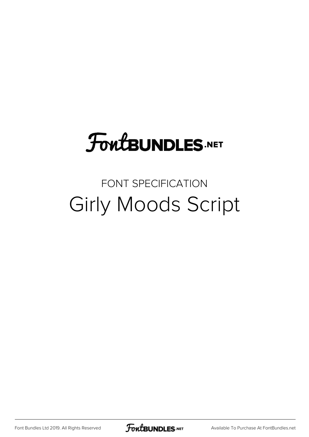## **FoutBUNDLES.NET**

## FONT SPECIFICATION Girly Moods Script

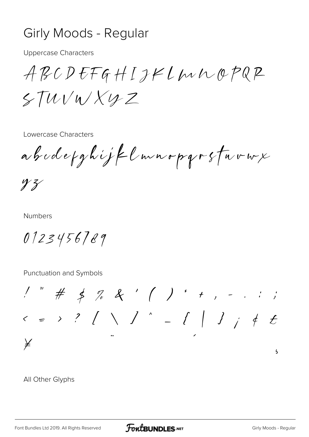## Girly Moods - Regular

**Uppercase Characters** 

 $ABCDEFGHIJHLWUQPQP$  $5TWV$ W  $X$ U  $Z$ 

Lowercase Characters

abodefghijflunopgrsfavux

 $yz$ 

**Numbers** 

 $0123456789$ 

Punctuation and Symbols

 $1''$  # \$ % & ' ( ) \* + , - . : ;  $\angle$  $\overline{\mathbf{5}}$ 

All Other Glyphs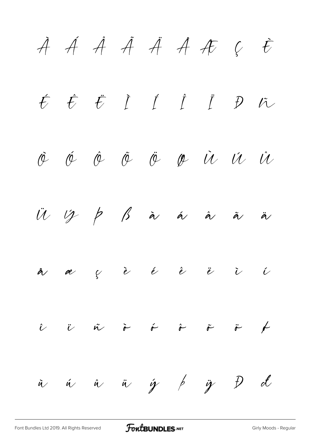À Á Â Ã Ä Å Æ Ç È É Ê Ë Ì Í Î Ï Ð Ñ Ò Ó Ô Õ Ö Ø Ù Ú Û  $\ddot{U}$   $\ddot{V}$   $\dot{P}$   $\dot{B}$  à á á à ä å æ ç è é ê ë ì í  $\hat{\iota}$   $\ddot{\iota}$   $\ddot{\kappa}$   $\ddot{\kappa}$   $\ddot{\kappa}$   $\ddot{\kappa}$   $\ddot{\kappa}$ ù ú û ü ý þ ÿ Đ đ